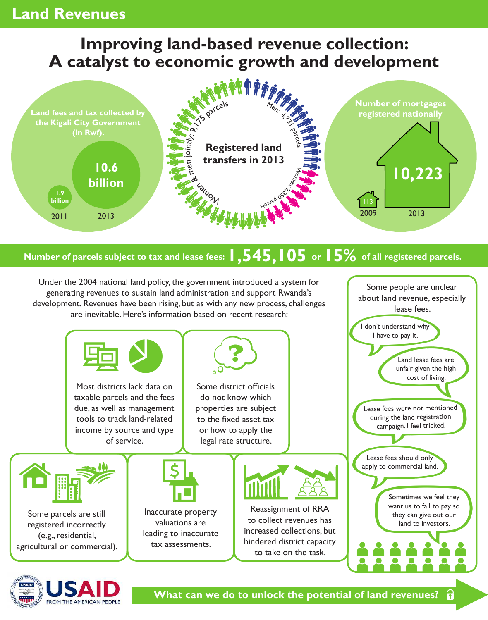## **Land Revenues**

## **Improving land-based revenue collection: A catalyst to economic growth and development**



## **Number of parcels subject to tax and lease fees: 1,545,105 or 15% of all registered parcels.**